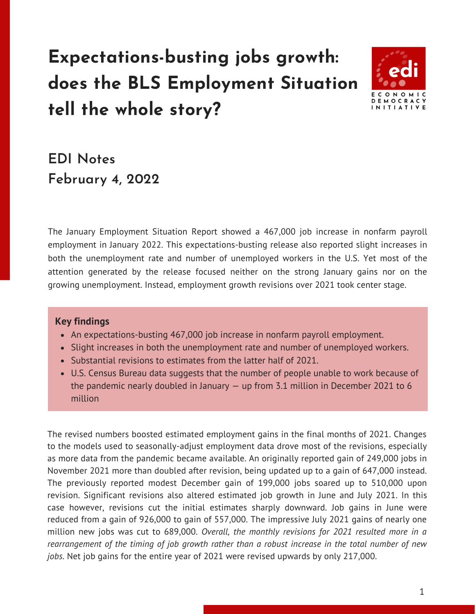# **Expectations-busting jobs growth: does the BLS Employment Situation tell the whole story?**



## **EDI Notes February 4, 2022**

The January Employment Situation Report showed a 467,000 job increase in nonfarm payroll employment in January 2022. This expectations-busting release also reported slight increases in both the unemployment rate and number of unemployed workers in the U.S. Yet most of the attention generated by the release focused neither on the strong January gains nor on the growing unemployment. Instead, employment growth revisions over 2021 took center stage.

#### **Key findings**

- An expectations-busting 467,000 job increase in nonfarm payroll employment.
- Slight increases in both the unemployment rate and number of unemployed workers.
- Substantial revisions to estimates from the latter half of 2021.
- U.S. Census Bureau data suggests that the number of people unable to work because of the pandemic nearly doubled in January — up from 3.1 million in December 2021 to 6 million

The revised numbers boosted estimated employment gains in the final months of 2021. Changes to the models used to seasonally-adjust employment data drove most of the revisions, especially as more data from the pandemic became available. An originally reported gain of 249,000 jobs in November 2021 more than doubled after revision, being updated up to a gain of 647,000 instead. The previously reported modest December gain of 199,000 jobs soared up to 510,000 upon revision. Significant revisions also altered estimated job growth in June and July 2021. In this case however, revisions cut the initial estimates sharply downward. Job gains in June were reduced from a gain of 926,000 to gain of 557,000. The impressive July 2021 gains of nearly one million new jobs was cut to 689,000. *Overall, the monthly revisions for 2021 resulted more in a rearrangement of the timing of job growth rather than a robust increase in the total number of new jobs.* Net job gains for the entire year of 2021 were revised upwards by only 217,000.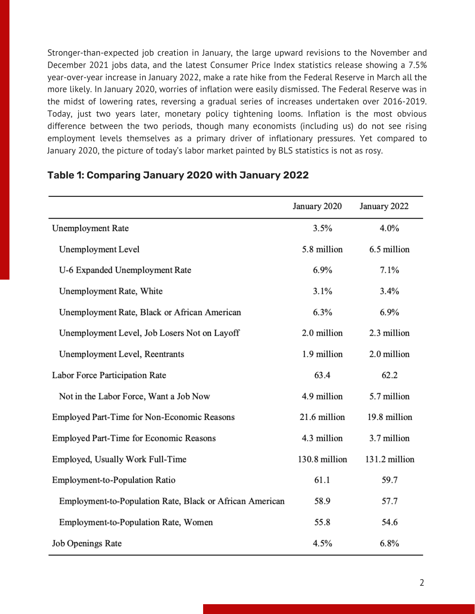Stronger-than-expected job creation in January, the large upward revisions to the November and December 2021 jobs data, and the latest Consumer Price Index statistics release showing a 7.5% year-over-year increase in January 2022, make a rate hike from the Federal Reserve in March all the more likely. In January 2020, worries of inflation were easily dismissed. The Federal Reserve was in the midst of lowering rates, reversing a gradual series of increases undertaken over 2016-2019. Today, just two years later, monetary policy tightening looms. Inflation is the most obvious difference between the two periods, though many economists (including us) do not see rising employment levels themselves as a primary driver of inflationary pressures. Yet compared to January 2020, the picture of today's labor market painted by BLS statistics is not as rosy.

|                                                          | January 2020  | January 2022  |
|----------------------------------------------------------|---------------|---------------|
| Unemployment Rate                                        | 3.5%          | 4.0%          |
| Unemployment Level                                       | 5.8 million   | 6.5 million   |
| U-6 Expanded Unemployment Rate                           | 6.9%          | 7.1%          |
| Unemployment Rate, White                                 | 3.1%          | 3.4%          |
| Unemployment Rate, Black or African American             | 6.3%          | 6.9%          |
| Unemployment Level, Job Losers Not on Layoff             | 2.0 million   | 2.3 million   |
| Unemployment Level, Reentrants                           | 1.9 million   | 2.0 million   |
| Labor Force Participation Rate                           | 63.4          | 62.2          |
| Not in the Labor Force, Want a Job Now                   | 4.9 million   | 5.7 million   |
| Employed Part-Time for Non-Economic Reasons              | 21.6 million  | 19.8 million  |
| Employed Part-Time for Economic Reasons                  | 4.3 million   | 3.7 million   |
| Employed, Usually Work Full-Time                         | 130.8 million | 131.2 million |
| Employment-to-Population Ratio                           | 61.1          | 59.7          |
| Employment-to-Population Rate, Black or African American | 58.9          | 57.7          |
| Employment-to-Population Rate, Women                     | 55.8          | 54.6          |
| Job Openings Rate                                        | 4.5%          | 6.8%          |

#### **Table 1: Comparing January 2020 with January 2022**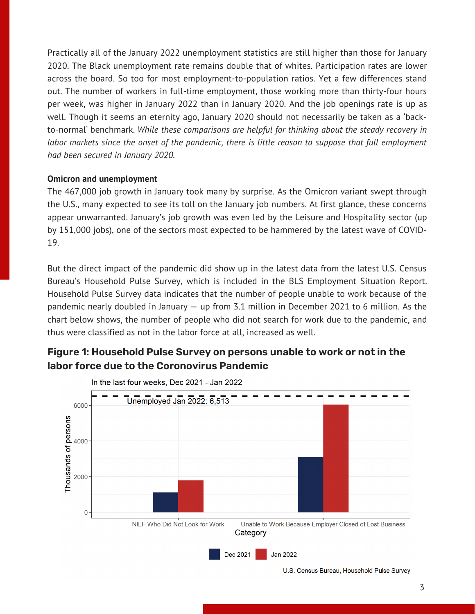Practically all of the January 2022 unemployment statistics are still higher than those for January 2020. The Black unemployment rate remains double that of whites. Participation rates are lower across the board. So too for most employment-to-population ratios. Yet a few differences stand out. The number of workers in full-time employment, those working more than thirty-four hours per week, was higher in January 2022 than in January 2020. And the job openings rate is up as well. Though it seems an eternity ago, January 2020 should not necessarily be taken as a 'backto-normal' benchmark. *While these comparisons are helpful for thinking about the steady recovery in labor markets since the onset of the pandemic, there is little reason to suppose that full employment had been secured in January 2020.*

#### **Omicron and unemployment**

The 467,000 job growth in January took many by surprise. As the Omicron variant swept through the U.S., many expected to see its toll on the January job numbers. At first glance, these concerns appear unwarranted. January's job growth was even led by the Leisure and Hospitality sector (up by 151,000 jobs), one of the sectors most expected to be hammered by the latest wave of COVID-19.

But the direct impact of the pandemic did show up in the latest data from the latest U.S. Census Bureau's Household Pulse Survey, which is included in the BLS Employment Situation Report. Household Pulse Survey data indicates that the number of people unable to work because of the pandemic nearly doubled in January — up from 3.1 million in December 2021 to 6 million. As the chart below shows, the number of people who did not search for work due to the pandemic, and thus were classified as not in the labor force at all, increased as well.

### **Figure 1: Household Pulse Survey on persons unable to work or not in the labor force due to the Coronovirus Pandemic**